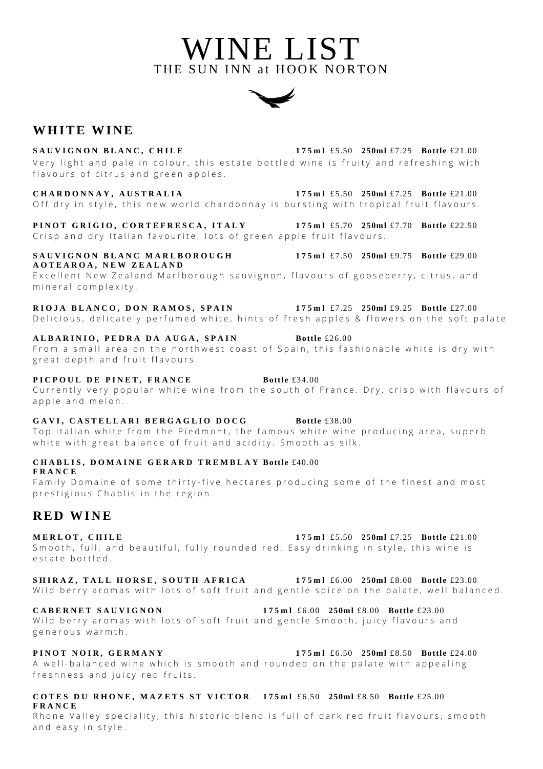**WHITE WINE** 

**SAUVIGNON BLANC, CHILE 175ml** £5.50 **250ml** £7.25 **Bottle** £21.00 Very light and pale in colour, this estate bottled wine is fruity and refreshing with flavours of citrus and green apples.

**CHARDONNAY, AUSTRALIA 175ml** £5.50 **250ml** £7.25 **Bottle** £21.00 Off dry in style, this new world chardonnay is bursting with tropical fruit flavours.

**PINOT GRIGIO, CORTEFRESCA, ITALY 175ml** £5.70 **250ml** £7.70 **Bottle** £22.50 Crisp and dry Italian favourite, lots of green apple fruit flavours.

### **SAUVIGNON BLANC MARLBOROUGH 175ml** £7.50 **250ml** £9.75 **Bottle** £29.00 **AOTEAROA, NEW ZEALAND**

Excellent New Zealand Marlborough sauvignon, flavours of gooseberry, citrus, and mineral complexity.

**RIOJA BLANCO, DON RAMOS, SPAIN 175ml** £7.25 **250ml** £9.25 **Bottle** £27.00 Delicious, delicately perfumed white, hints of fresh apples & flowers on the soft palate

# **ALBARINIO, PEDRA DA AUGA, SPAIN Bottle** £26.00

From a small area on the northwest coast of Spain, this fashionable white is dry with great depth and fruit flavours.

# **PICPOUL DE PINET, FRANCE Bottle** £34.00

Currently very popular white wine from the south of France. Dry, crisp with flavours of apple and melon.

# **GAVI, CASTELLARI BERGAGLIO DOCG Bottle** £38.00

Top Italian white from the Piedmont, the famous white wine producing area, superb white with great balance of fruit and acidity. Smooth as silk.

**CHABLIS, DOMAINE GERARD TREMBLAY Bottle** £40.00 **FRANCE**

Family Domaine of some thirty-five hectares producing some of the finest and most prestigious Chablis in the region.

# **R E D W I N E**

**MERLOT, CHILE** 175ml £5.50 **250ml** £7.25 **Bottle** £21.00 Smooth, full, and beautiful, fully rounded red. Easy drinking in style, this wine is estate bottled

**SHIRAZ, TALL HORSE, SOUTH AFRICA 175ml** £6.00 **250ml** £8.00 **Bottle** £23.00 Wild berry aromas with lots of soft fruit and gentle spice on the palate, well balanced.

### **CABERNET SAUVIGNON 175ml** £6.00 **250ml** £8.00 **Bottle** £23.00

Wild berry aromas with lots of soft fruit and gentle Smooth, juicy flavours and generous warmth.

**PINOT NOIR, GERMANY 175ml** £6.50 **250ml** £8.50 **Bottle** £24.00

A well-balanced wine which is smooth and rounded on the palate with appealing freshness and juicy red fruits.

## **COTES DU RHONE, MAZETS ST VICTOR 175ml** £6.50 **250ml** £8.50 **Bottle** £25.00 **FRANCE**

Rhone Valley speciality, this historic blend is full of dark red fruit flavours, smooth and easy in style.



WINE LIST

THE SUN INN at HOOK NORTON